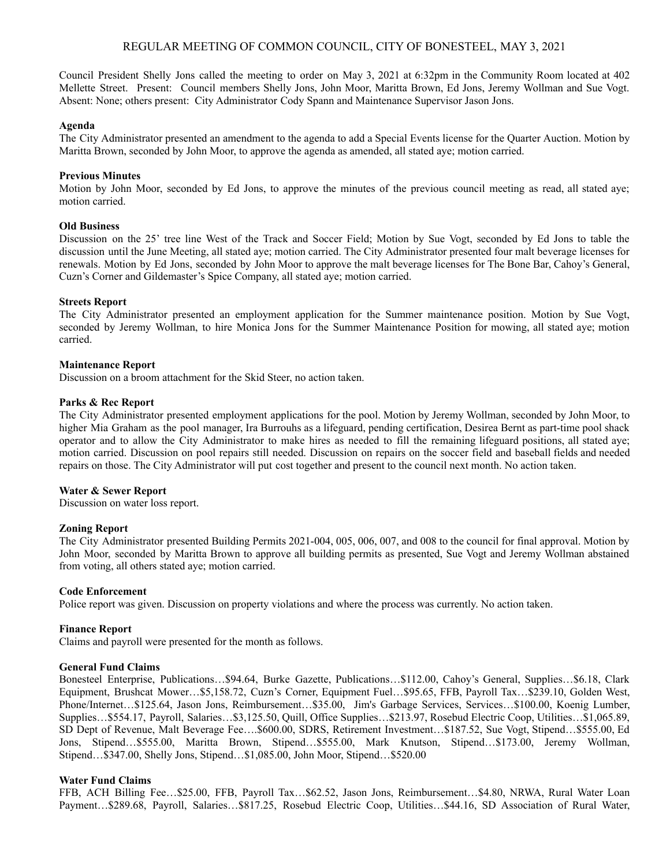## REGULAR MEETING OF COMMON COUNCIL, CITY OF BONESTEEL, MAY 3, 2021

Council President Shelly Jons called the meeting to order on May 3, 2021 at 6:32pm in the Community Room located at 402 Mellette Street. Present: Council members Shelly Jons, John Moor, Maritta Brown, Ed Jons, Jeremy Wollman and Sue Vogt. Absent: None; others present: City Administrator Cody Spann and Maintenance Supervisor Jason Jons.

## **Agenda**

The City Administrator presented an amendment to the agenda to add a Special Events license for the Quarter Auction. Motion by Maritta Brown, seconded by John Moor, to approve the agenda as amended, all stated aye; motion carried.

## **Previous Minutes**

Motion by John Moor, seconded by Ed Jons, to approve the minutes of the previous council meeting as read, all stated aye; motion carried.

## **Old Business**

Discussion on the 25' tree line West of the Track and Soccer Field; Motion by Sue Vogt, seconded by Ed Jons to table the discussion until the June Meeting, all stated aye; motion carried. The City Administrator presented four malt beverage licenses for renewals. Motion by Ed Jons, seconded by John Moor to approve the malt beverage licenses for The Bone Bar, Cahoy's General, Cuzn's Corner and Gildemaster's Spice Company, all stated aye; motion carried.

## **Streets Report**

The City Administrator presented an employment application for the Summer maintenance position. Motion by Sue Vogt, seconded by Jeremy Wollman, to hire Monica Jons for the Summer Maintenance Position for mowing, all stated aye; motion carried.

## **Maintenance Report**

Discussion on a broom attachment for the Skid Steer, no action taken.

## **Parks & Rec Report**

The City Administrator presented employment applications for the pool. Motion by Jeremy Wollman, seconded by John Moor, to higher Mia Graham as the pool manager, Ira Burrouhs as a lifeguard, pending certification, Desirea Bernt as part-time pool shack operator and to allow the City Administrator to make hires as needed to fill the remaining lifeguard positions, all stated aye; motion carried. Discussion on pool repairs still needed. Discussion on repairs on the soccer field and baseball fields and needed repairs on those. The City Administrator will put cost together and present to the council next month. No action taken.

#### **Water & Sewer Report**

Discussion on water loss report.

#### **Zoning Report**

The City Administrator presented Building Permits 2021-004, 005, 006, 007, and 008 to the council for final approval. Motion by John Moor, seconded by Maritta Brown to approve all building permits as presented, Sue Vogt and Jeremy Wollman abstained from voting, all others stated aye; motion carried.

#### **Code Enforcement**

Police report was given. Discussion on property violations and where the process was currently. No action taken.

#### **Finance Report**

Claims and payroll were presented for the month as follows.

#### **General Fund Claims**

Bonesteel Enterprise, Publications…\$94.64, Burke Gazette, Publications…\$112.00, Cahoy's General, Supplies…\$6.18, Clark Equipment, Brushcat Mower…\$5,158.72, Cuzn's Corner, Equipment Fuel…\$95.65, FFB, Payroll Tax…\$239.10, Golden West, Phone/Internet…\$125.64, Jason Jons, Reimbursement…\$35.00, Jim's Garbage Services, Services…\$100.00, Koenig Lumber, Supplies…\$554.17, Payroll, Salaries…\$3,125.50, Quill, Office Supplies…\$213.97, Rosebud Electric Coop, Utilities…\$1,065.89, SD Dept of Revenue, Malt Beverage Fee….\$600.00, SDRS, Retirement Investment…\$187.52, Sue Vogt, Stipend…\$555.00, Ed Jons, Stipend…\$555.00, Maritta Brown, Stipend…\$555.00, Mark Knutson, Stipend…\$173.00, Jeremy Wollman, Stipend…\$347.00, Shelly Jons, Stipend…\$1,085.00, John Moor, Stipend…\$520.00

#### **Water Fund Claims**

FFB, ACH Billing Fee…\$25.00, FFB, Payroll Tax…\$62.52, Jason Jons, Reimbursement…\$4.80, NRWA, Rural Water Loan Payment…\$289.68, Payroll, Salaries…\$817.25, Rosebud Electric Coop, Utilities…\$44.16, SD Association of Rural Water,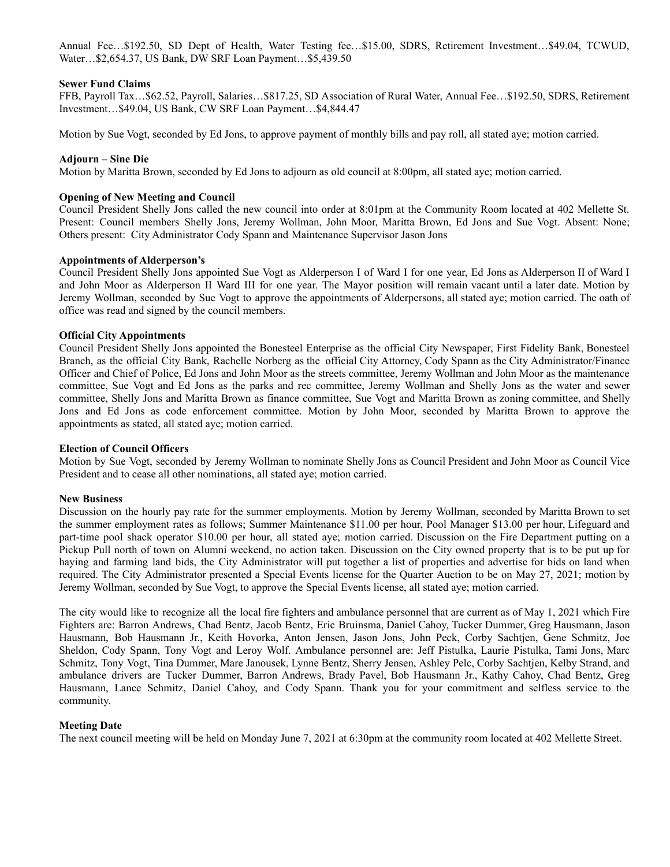Annual Fee…\$192.50, SD Dept of Health, Water Testing fee…\$15.00, SDRS, Retirement Investment…\$49.04, TCWUD, Water…\$2,654.37, US Bank, DW SRF Loan Payment…\$5,439.50

#### **Sewer Fund Claims**

FFB, Payroll Tax…\$62.52, Payroll, Salaries…\$817.25, SD Association of Rural Water, Annual Fee…\$192.50, SDRS, Retirement Investment…\$49.04, US Bank, CW SRF Loan Payment…\$4,844.47

Motion by Sue Vogt, seconded by Ed Jons, to approve payment of monthly bills and pay roll, all stated aye; motion carried.

#### **Adjourn – Sine Die**

Motion by Maritta Brown, seconded by Ed Jons to adjourn as old council at 8:00pm, all stated aye; motion carried.

#### **Opening of New Meeting and Council**

Council President Shelly Jons called the new council into order at 8:01pm at the Community Room located at 402 Mellette St. Present: Council members Shelly Jons, Jeremy Wollman, John Moor, Maritta Brown, Ed Jons and Sue Vogt. Absent: None; Others present: City Administrator Cody Spann and Maintenance Supervisor Jason Jons

## **Appointments of Alderperson's**

Council President Shelly Jons appointed Sue Vogt as Alderperson I of Ward I for one year, Ed Jons as Alderperson II of Ward I and John Moor as Alderperson II Ward III for one year. The Mayor position will remain vacant until a later date. Motion by Jeremy Wollman, seconded by Sue Vogt to approve the appointments of Alderpersons, all stated aye; motion carried. The oath of office was read and signed by the council members.

#### **Official City Appointments**

Council President Shelly Jons appointed the Bonesteel Enterprise as the official City Newspaper, First Fidelity Bank, Bonesteel Branch, as the official City Bank, Rachelle Norberg as the official City Attorney, Cody Spann as the City Administrator/Finance Officer and Chief of Police, Ed Jons and John Moor as the streets committee, Jeremy Wollman and John Moor as the maintenance committee, Sue Vogt and Ed Jons as the parks and rec committee, Jeremy Wollman and Shelly Jons as the water and sewer committee, Shelly Jons and Maritta Brown as finance committee, Sue Vogt and Maritta Brown as zoning committee, and Shelly Jons and Ed Jons as code enforcement committee. Motion by John Moor, seconded by Maritta Brown to approve the appointments as stated, all stated aye; motion carried.

#### **Election of Council Officers**

Motion by Sue Vogt, seconded by Jeremy Wollman to nominate Shelly Jons as Council President and John Moor as Council Vice President and to cease all other nominations, all stated aye; motion carried.

## **New Business**

Discussion on the hourly pay rate for the summer employments. Motion by Jeremy Wollman, seconded by Maritta Brown to set the summer employment rates as follows; Summer Maintenance \$11.00 per hour, Pool Manager \$13.00 per hour, Lifeguard and part-time pool shack operator \$10.00 per hour, all stated aye; motion carried. Discussion on the Fire Department putting on a Pickup Pull north of town on Alumni weekend, no action taken. Discussion on the City owned property that is to be put up for haying and farming land bids, the City Administrator will put together a list of properties and advertise for bids on land when required. The City Administrator presented a Special Events license for the Quarter Auction to be on May 27, 2021; motion by Jeremy Wollman, seconded by Sue Vogt, to approve the Special Events license, all stated aye; motion carried.

The city would like to recognize all the local fire fighters and ambulance personnel that are current as of May 1, 2021 which Fire Fighters are: Barron Andrews, Chad Bentz, Jacob Bentz, Eric Bruinsma, Daniel Cahoy, Tucker Dummer, Greg Hausmann, Jason Hausmann, Bob Hausmann Jr., Keith Hovorka, Anton Jensen, Jason Jons, John Peck, Corby Sachtjen, Gene Schmitz, Joe Sheldon, Cody Spann, Tony Vogt and Leroy Wolf. Ambulance personnel are: Jeff Pistulka, Laurie Pistulka, Tami Jons, Marc Schmitz, Tony Vogt, Tina Dummer, Mare Janousek, Lynne Bentz, Sherry Jensen, Ashley Pelc, Corby Sachtjen, Kelby Strand, and ambulance drivers are Tucker Dummer, Barron Andrews, Brady Pavel, Bob Hausmann Jr., Kathy Cahoy, Chad Bentz, Greg Hausmann, Lance Schmitz, Daniel Cahoy, and Cody Spann. Thank you for your commitment and selfless service to the community.

#### **Meeting Date**

The next council meeting will be held on Monday June 7, 2021 at 6:30pm at the community room located at 402 Mellette Street.